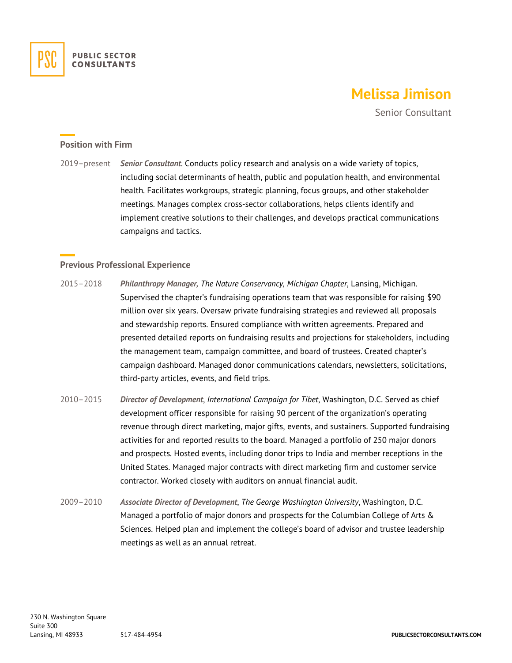

# **Melissa Jimison**

Senior Consultant

## **Position with Firm**

2019–present *Senior Consultant*. Conducts policy research and analysis on a wide variety of topics, including social determinants of health, public and population health, and environmental health. Facilitates workgroups, strategic planning, focus groups, and other stakeholder meetings. Manages complex cross-sector collaborations, helps clients identify and implement creative solutions to their challenges, and develops practical communications campaigns and tactics.

## **Previous Professional Experience**

- 2015–2018 *Philanthropy Manager, The Nature Conservancy, Michigan Chapter*, Lansing, Michigan. Supervised the chapter's fundraising operations team that was responsible for raising \$90 million over six years. Oversaw private fundraising strategies and reviewed all proposals and stewardship reports. Ensured compliance with written agreements. Prepared and presented detailed reports on fundraising results and projections for stakeholders, including the management team, campaign committee, and board of trustees. Created chapter's campaign dashboard. Managed donor communications calendars, newsletters, solicitations, third-party articles, events, and field trips.
- 2010–2015 *Director of Development*, *International Campaign for Tibet*, Washington, D.C. Served as chief development officer responsible for raising 90 percent of the organization's operating revenue through direct marketing, major gifts, events, and sustainers. Supported fundraising activities for and reported results to the board. Managed a portfolio of 250 major donors and prospects. Hosted events, including donor trips to India and member receptions in the United States. Managed major contracts with direct marketing firm and customer service contractor. Worked closely with auditors on annual financial audit.
- 2009–2010 *Associate Director of Development*, *The George Washington University*, Washington, D.C. Managed a portfolio of major donors and prospects for the Columbian College of Arts & Sciences. Helped plan and implement the college's board of advisor and trustee leadership meetings as well as an annual retreat.